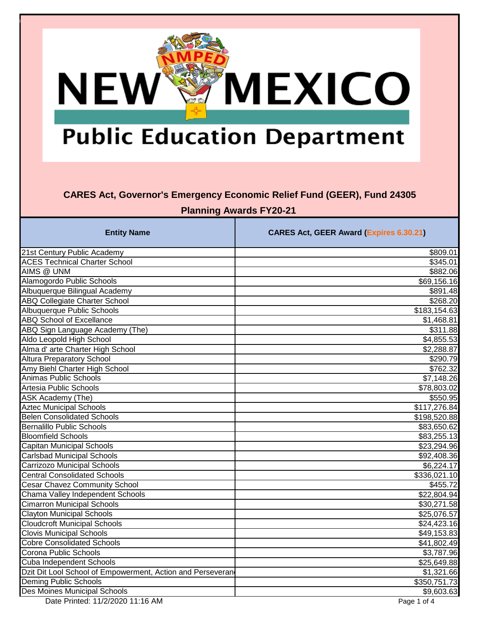# **MEXICO NEW®**

## **Public Education Department**

#### **CARES Act, Governor's Emergency Economic Relief Fund (GEER), Fund 24305**

**Planning Awards FY20-21** 

| <b>Entity Name</b>                                         | <b>CARES Act, GEER Award (Expires 6.30.21)</b> |
|------------------------------------------------------------|------------------------------------------------|
| 21st Century Public Academy                                | \$809.01                                       |
| <b>ACES Technical Charter School</b>                       | \$345.01                                       |
| AIMS @ UNM                                                 | \$882.06                                       |
| Alamogordo Public Schools                                  | \$69,156.16                                    |
| Albuquerque Bilingual Academy                              | \$891.48                                       |
| <b>ABQ Collegiate Charter School</b>                       | \$268.20                                       |
| <b>Albuquerque Public Schools</b>                          | \$183,154.63                                   |
| <b>ABQ School of Excellance</b>                            | \$1,468.81                                     |
| ABQ Sign Language Academy (The)                            | \$311.88                                       |
| Aldo Leopold High School                                   | \$4,855.53                                     |
| Alma d' arte Charter High School                           | \$2,288.87                                     |
| <b>Altura Preparatory School</b>                           | \$290.79                                       |
| Amy Biehl Charter High School                              | \$762.32                                       |
| <b>Animas Public Schools</b>                               | \$7,148.26                                     |
| Artesia Public Schools                                     | \$78,803.02                                    |
| <b>ASK Academy (The)</b>                                   | \$550.95                                       |
| <b>Aztec Municipal Schools</b>                             | \$117,276.84                                   |
| <b>Belen Consolidated Schools</b>                          | \$198,520.88                                   |
| <b>Bernalillo Public Schools</b>                           | \$83,650.62                                    |
| <b>Bloomfield Schools</b>                                  | \$83,255.13                                    |
| <b>Capitan Municipal Schools</b>                           | \$23,294.96                                    |
| <b>Carlsbad Municipal Schools</b>                          | \$92,408.36                                    |
| <b>Carrizozo Municipal Schools</b>                         | \$6,224.17                                     |
| <b>Central Consolidated Schools</b>                        | \$336,021.10                                   |
| <b>Cesar Chavez Community School</b>                       | \$455.72                                       |
| Chama Valley Independent Schools                           | \$22,804.94                                    |
| <b>Cimarron Municipal Schools</b>                          | \$30,271.58                                    |
| <b>Clayton Municipal Schools</b>                           | \$25,076.57                                    |
| <b>Cloudcroft Municipal Schools</b>                        | \$24,423.16                                    |
| <b>Clovis Municipal Schools</b>                            | \$49,153.83                                    |
| <b>Cobre Consolidated Schools</b>                          | \$41,802.49                                    |
| Corona Public Schools                                      | \$3,787.96                                     |
| Cuba Independent Schools                                   | \$25,649.88                                    |
| Dzit Dit Lool School of Empowerment, Action and Perseveran | \$1,321.66                                     |
| <b>Deming Public Schools</b>                               | \$350,751.73                                   |
| <b>Des Moines Municipal Schools</b>                        | \$9,603.63                                     |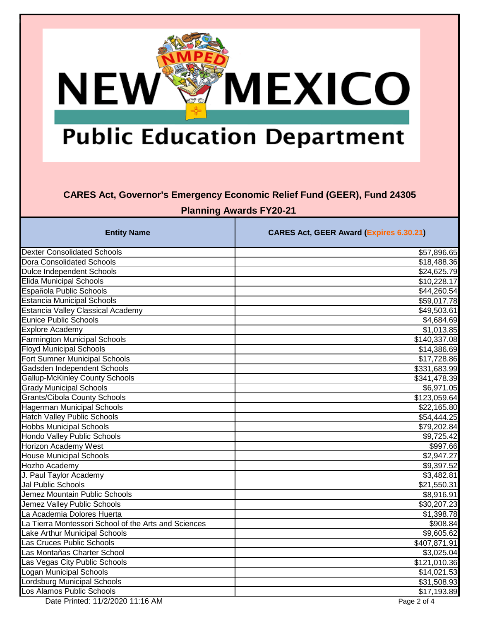# **MEXICO NEW®**

## **Public Education Department**

### **CARES Act, Governor's Emergency Economic Relief Fund (GEER), Fund 24305**

**Planning Awards FY20-21** 

| <b>Entity Name</b>                                   | <b>CARES Act, GEER Award (Expires 6.30.21)</b> |
|------------------------------------------------------|------------------------------------------------|
| <b>Dexter Consolidated Schools</b>                   | \$57,896.65                                    |
| <b>Dora Consolidated Schools</b>                     | \$18,488.36                                    |
| <b>Dulce Independent Schools</b>                     | \$24,625.79                                    |
| <b>Elida Municipal Schools</b>                       | \$10,228.17                                    |
| Española Public Schools                              | \$44,260.54                                    |
| <b>Estancia Municipal Schools</b>                    | \$59,017.78                                    |
| <b>Estancia Valley Classical Academy</b>             | \$49,503.61                                    |
| Eunice Public Schools                                | \$4,684.69                                     |
| <b>Explore Academy</b>                               | \$1,013.85                                     |
| <b>Farmington Municipal Schools</b>                  | \$140,337.08                                   |
| <b>Floyd Municipal Schools</b>                       | \$14,386.69                                    |
| <b>Fort Sumner Municipal Schools</b>                 | \$17,728.86                                    |
| Gadsden Independent Schools                          | \$331,683.99                                   |
| <b>Gallup-McKinley County Schools</b>                | \$341,478.39                                   |
| <b>Grady Municipal Schools</b>                       | \$6,971.05                                     |
| <b>Grants/Cibola County Schools</b>                  | \$123,059.64                                   |
| <b>Hagerman Municipal Schools</b>                    | \$22,165.80                                    |
| <b>Hatch Valley Public Schools</b>                   | \$54,444.25                                    |
| <b>Hobbs Municipal Schools</b>                       | \$79,202.84                                    |
| <b>Hondo Valley Public Schools</b>                   | \$9,725.42                                     |
| <b>Horizon Academy West</b>                          | \$997.66                                       |
| <b>House Municipal Schools</b>                       | \$2,947.27                                     |
| Hozho Academy                                        | \$9,397.52                                     |
| J. Paul Taylor Academy                               | \$3,482.81                                     |
| <b>Jal Public Schools</b>                            | $\overline{$21,550.31}$                        |
| Jemez Mountain Public Schools                        | \$8,916.91                                     |
| Jemez Valley Public Schools                          | \$30,207.23                                    |
| La Academia Dolores Huerta                           | \$1,398.78                                     |
| La Tierra Montessori School of the Arts and Sciences | \$908.84                                       |
| Lake Arthur Municipal Schools                        | \$9,605.62                                     |
| Las Cruces Public Schools                            | $\overline{$407,871.91}$                       |
| Las Montañas Charter School                          | \$3,025.04                                     |
| Las Vegas City Public Schools                        | \$121,010.36                                   |
| Logan Municipal Schools                              | \$14,021.53                                    |
| Lordsburg Municipal Schools                          | \$31,508.93                                    |
| Los Alamos Public Schools                            | \$17,193.89                                    |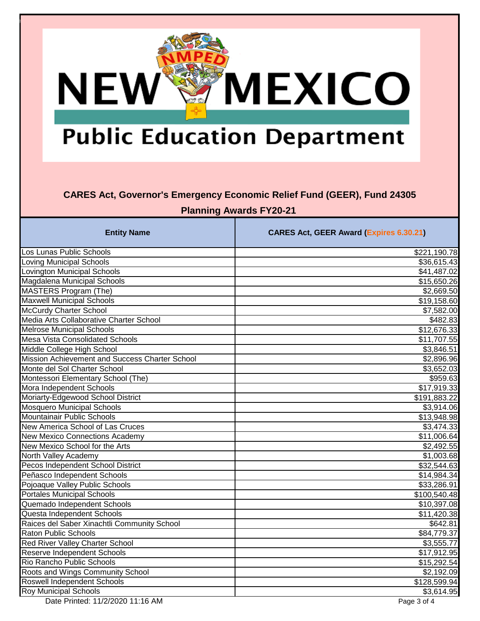# **MEXICO NEW®**

## **Public Education Department**

### **CARES Act, Governor's Emergency Economic Relief Fund (GEER), Fund 24305**

**Planning Awards FY20-21** 

| <b>Entity Name</b>                             | <b>CARES Act, GEER Award (Expires 6.30.21)</b> |
|------------------------------------------------|------------------------------------------------|
| Los Lunas Public Schools                       | \$221,190.78                                   |
| <b>Loving Municipal Schools</b>                | \$36,615.43                                    |
| Lovington Municipal Schools                    | \$41,487.02                                    |
| Magdalena Municipal Schools                    | \$15,650.26                                    |
| <b>MASTERS Program (The)</b>                   | \$2,669.50                                     |
| <b>Maxwell Municipal Schools</b>               | \$19,158.60                                    |
| McCurdy Charter School                         | \$7,582.00                                     |
| Media Arts Collaborative Charter School        | \$482.83                                       |
| <b>Melrose Municipal Schools</b>               | \$12,676.33                                    |
| <b>Mesa Vista Consolidated Schools</b>         | \$11,707.55                                    |
| Middle College High School                     | \$3,846.51                                     |
| Mission Achievement and Success Charter School | \$2,896.96                                     |
| Monte del Sol Charter School                   | \$3,652.03                                     |
| Montessori Elementary School (The)             | \$959.63                                       |
| Mora Independent Schools                       | \$17,919.33                                    |
| Moriarty-Edgewood School District              | \$191,883.22                                   |
| <b>Mosquero Municipal Schools</b>              | \$3,914.06                                     |
| Mountainair Public Schools                     | \$13,948.98                                    |
| New America School of Las Cruces               | \$3,474.33                                     |
| <b>New Mexico Connections Academy</b>          | \$11,006.64                                    |
| New Mexico School for the Arts                 | \$2,492.55                                     |
| North Valley Academy                           | \$1,003.68                                     |
| Pecos Independent School District              | \$32,544.63                                    |
| Peñasco Independent Schools                    | \$14,984.34                                    |
| Pojoaque Valley Public Schools                 | \$33,286.91                                    |
| <b>Portales Municipal Schools</b>              | \$100,540.48                                   |
| Quemado Independent Schools                    | \$10,397.08                                    |
| Questa Independent Schools                     | \$11,420.38                                    |
| Raices del Saber Xinachtli Community School    | \$642.81                                       |
| <b>Raton Public Schools</b>                    | \$84,779.37                                    |
| <b>Red River Valley Charter School</b>         | \$3,555.77                                     |
| <b>Reserve Independent Schools</b>             | \$17,912.95                                    |
| Rio Rancho Public Schools                      | \$15,292.54                                    |
| Roots and Wings Community School               | \$2,192.09                                     |
| Roswell Independent Schools                    | \$128,599.94                                   |
| <b>Roy Municipal Schools</b>                   | \$3,614.95                                     |

Date Printed: 11/2/2020 11:16 AM Page 3 of 4